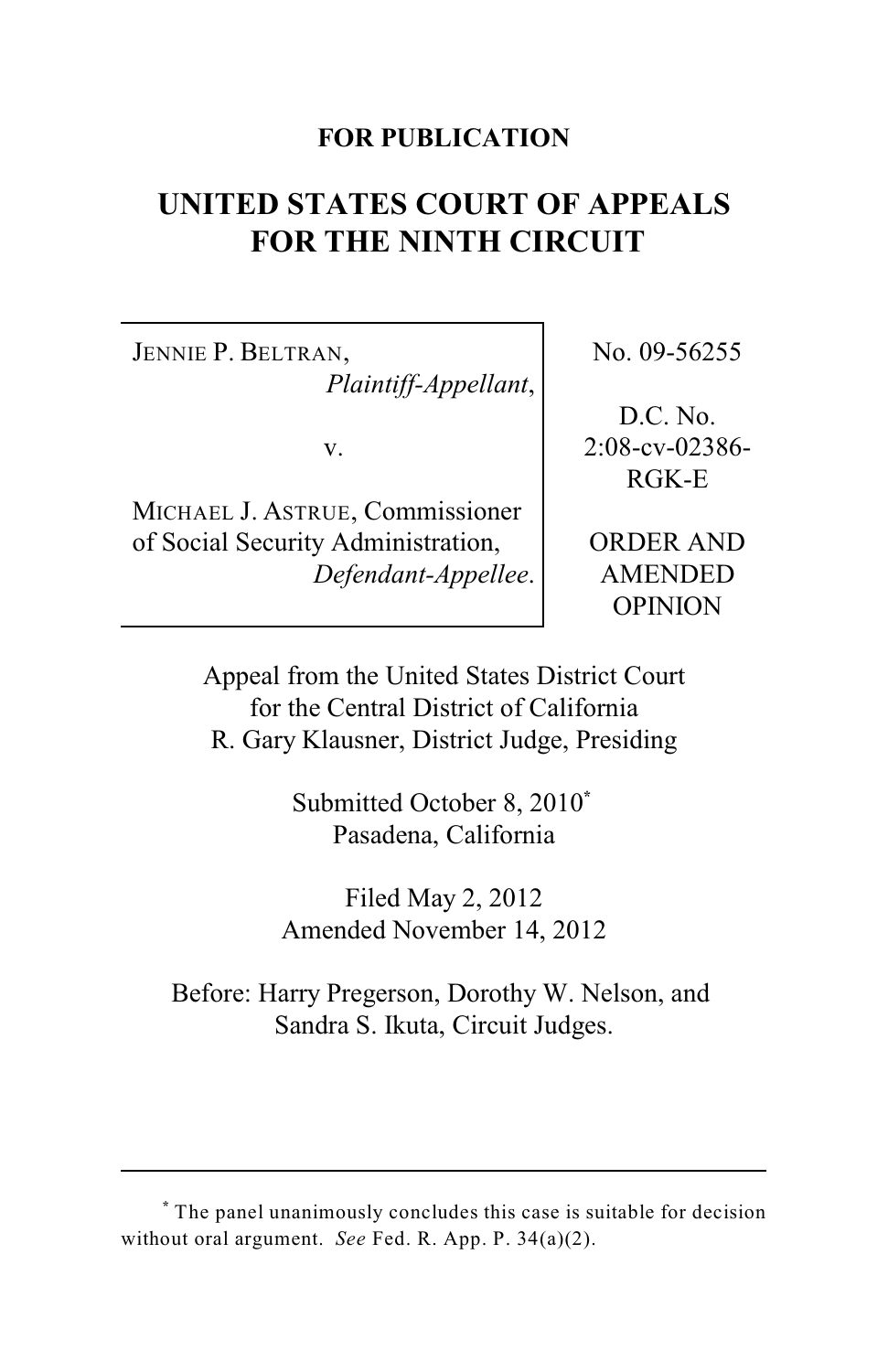## **FOR PUBLICATION**

# **UNITED STATES COURT OF APPEALS FOR THE NINTH CIRCUIT**

JENNIE P. BELTRAN, *Plaintiff-Appellant*,

v.

MICHAEL J. ASTRUE, Commissioner of Social Security Administration, *Defendant-Appellee*. No. 09-56255

D.C. No. 2:08-cv-02386- RGK-E

ORDER AND AMENDED OPINION

Appeal from the United States District Court for the Central District of California R. Gary Klausner, District Judge, Presiding

> Submitted October 8, 2010**\***  Pasadena, California

Filed May 2, 2012 Amended November 14, 2012

Before: Harry Pregerson, Dorothy W. Nelson, and Sandra S. Ikuta, Circuit Judges.

The panel unanimously concludes this case is suitable for decision **\*** without oral argument. *See* Fed. R. App. P. 34(a)(2).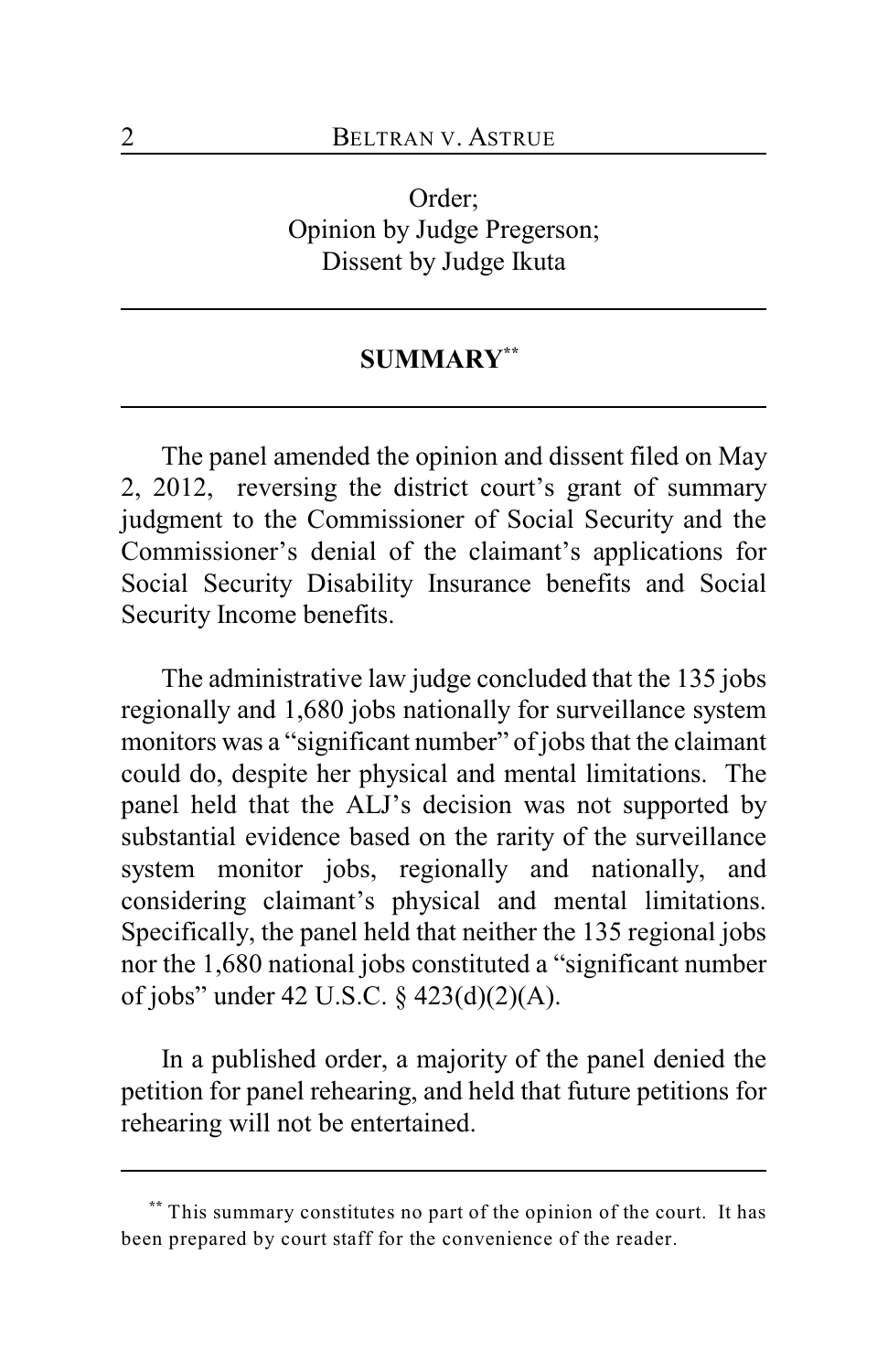Order; Opinion by Judge Pregerson; Dissent by Judge Ikuta

# **SUMMARY \*\***

The panel amended the opinion and dissent filed on May 2, 2012, reversing the district court's grant of summary judgment to the Commissioner of Social Security and the Commissioner's denial of the claimant's applications for Social Security Disability Insurance benefits and Social Security Income benefits.

The administrative law judge concluded that the 135 jobs regionally and 1,680 jobs nationally for surveillance system monitors was a "significant number" of jobs that the claimant could do, despite her physical and mental limitations. The panel held that the ALJ's decision was not supported by substantial evidence based on the rarity of the surveillance system monitor jobs, regionally and nationally, and considering claimant's physical and mental limitations. Specifically, the panel held that neither the 135 regional jobs nor the 1,680 national jobs constituted a "significant number of jobs" under 42 U.S.C. § 423(d)(2)(A).

In a published order, a majority of the panel denied the petition for panel rehearing, and held that future petitions for rehearing will not be entertained.

This summary constitutes no part of the opinion of the court. It has  **\*\*** been prepared by court staff for the convenience of the reader.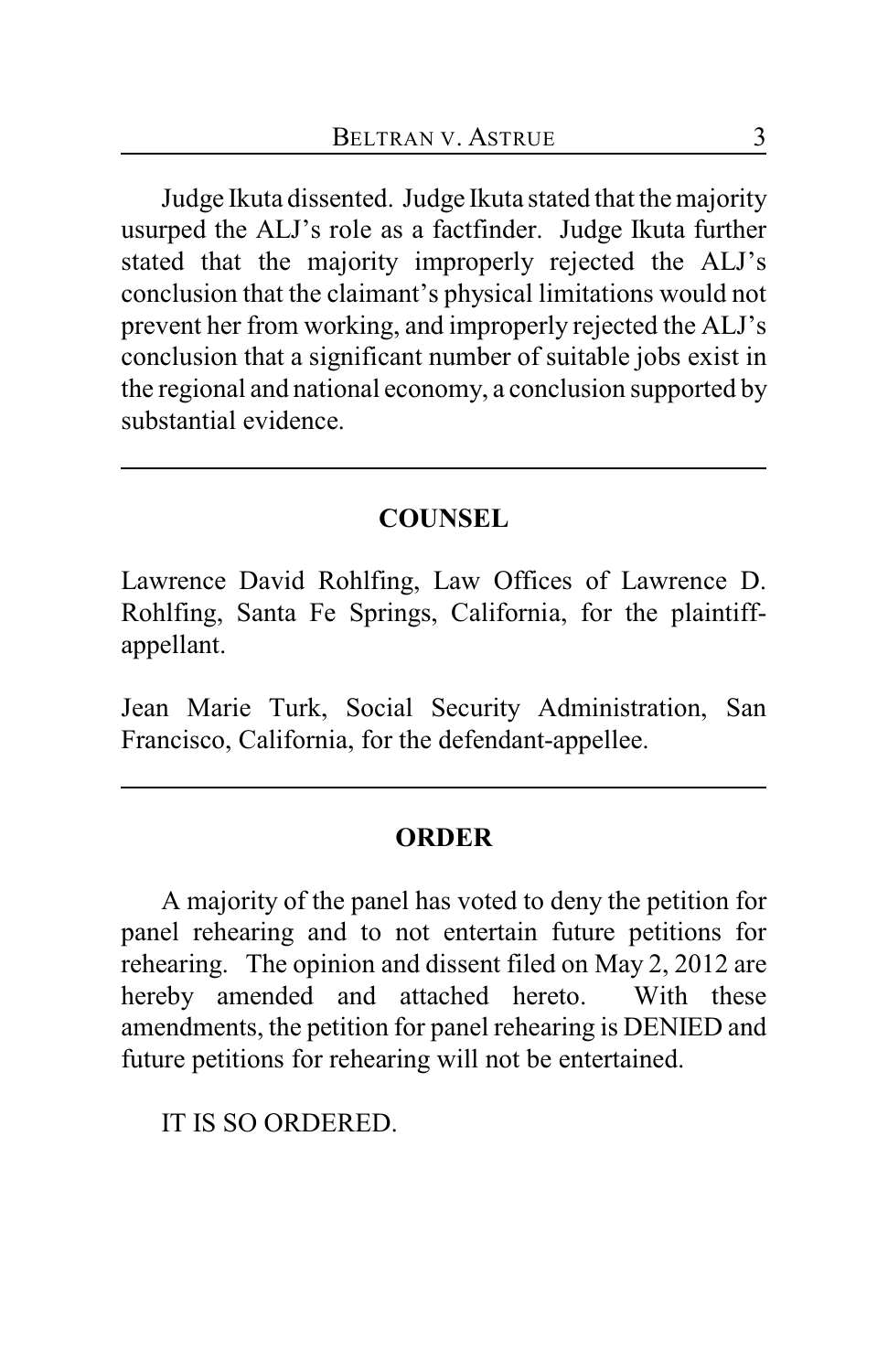Judge Ikuta dissented. Judge Ikuta stated that the majority usurped the ALJ's role as a factfinder. Judge Ikuta further stated that the majority improperly rejected the ALJ's conclusion that the claimant's physical limitations would not prevent her from working, and improperly rejected the ALJ's conclusion that a significant number of suitable jobs exist in the regional and national economy, a conclusion supported by substantial evidence.

## **COUNSEL**

Lawrence David Rohlfing, Law Offices of Lawrence D. Rohlfing, Santa Fe Springs, California, for the plaintiffappellant.

Jean Marie Turk, Social Security Administration, San Francisco, California, for the defendant-appellee.

# **ORDER**

A majority of the panel has voted to deny the petition for panel rehearing and to not entertain future petitions for rehearing. The opinion and dissent filed on May 2, 2012 are hereby amended and attached hereto. With these amendments, the petition for panel rehearing is DENIED and future petitions for rehearing will not be entertained.

IT IS SO ORDERED.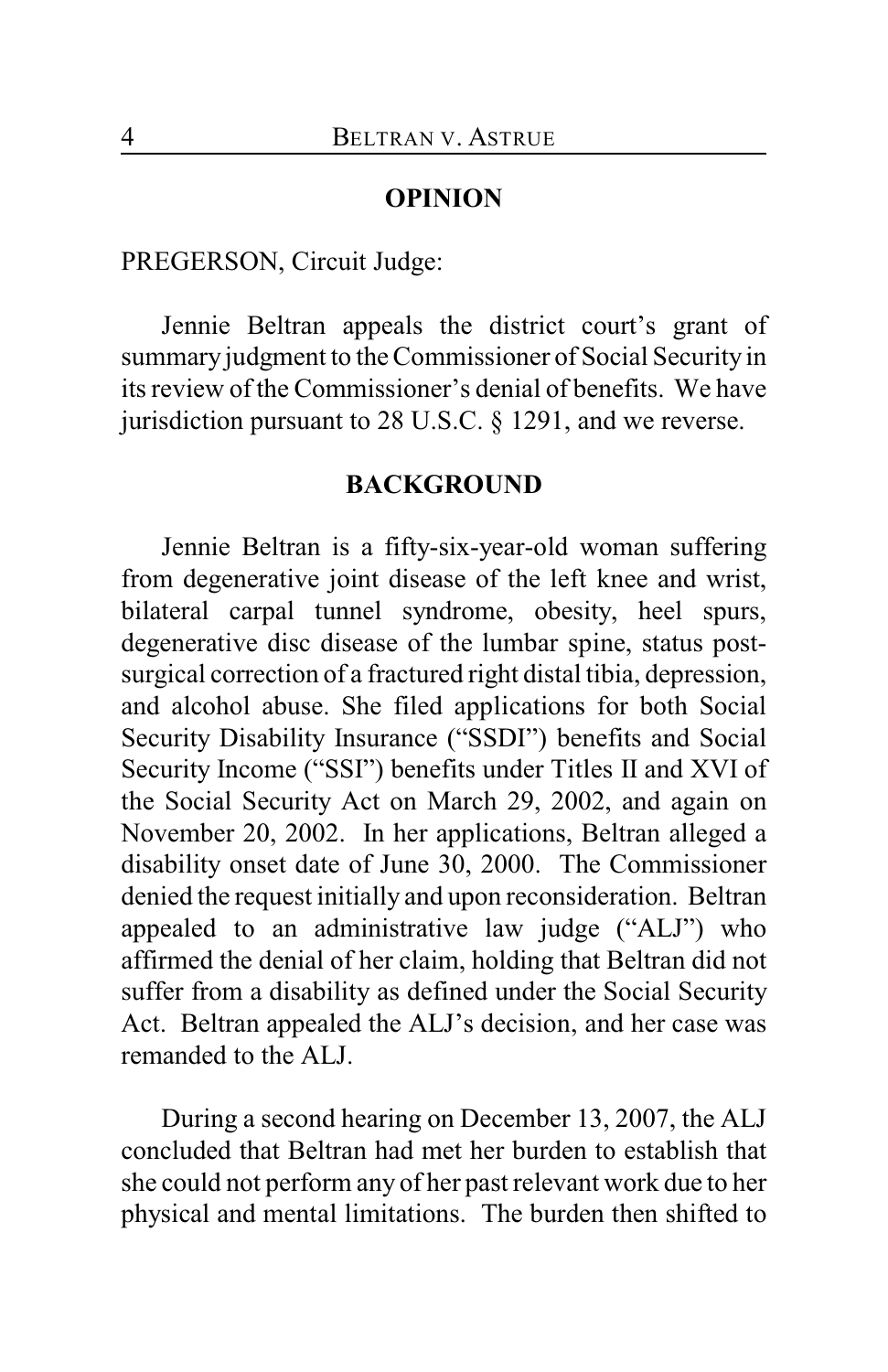## **OPINION**

PREGERSON, Circuit Judge:

Jennie Beltran appeals the district court's grant of summary judgment to the Commissioner of Social Security in its review of the Commissioner's denial of benefits. We have jurisdiction pursuant to 28 U.S.C. § 1291, and we reverse.

# **BACKGROUND**

Jennie Beltran is a fifty-six-year-old woman suffering from degenerative joint disease of the left knee and wrist, bilateral carpal tunnel syndrome, obesity, heel spurs, degenerative disc disease of the lumbar spine, status postsurgical correction of a fractured right distal tibia, depression, and alcohol abuse. She filed applications for both Social Security Disability Insurance ("SSDI") benefits and Social Security Income ("SSI") benefits under Titles II and XVI of the Social Security Act on March 29, 2002, and again on November 20, 2002. In her applications, Beltran alleged a disability onset date of June 30, 2000. The Commissioner denied the request initially and upon reconsideration. Beltran appealed to an administrative law judge ("ALJ") who affirmed the denial of her claim, holding that Beltran did not suffer from a disability as defined under the Social Security Act. Beltran appealed the ALJ's decision, and her case was remanded to the ALJ.

During a second hearing on December 13, 2007, the ALJ concluded that Beltran had met her burden to establish that she could not perform any of her past relevant work due to her physical and mental limitations. The burden then shifted to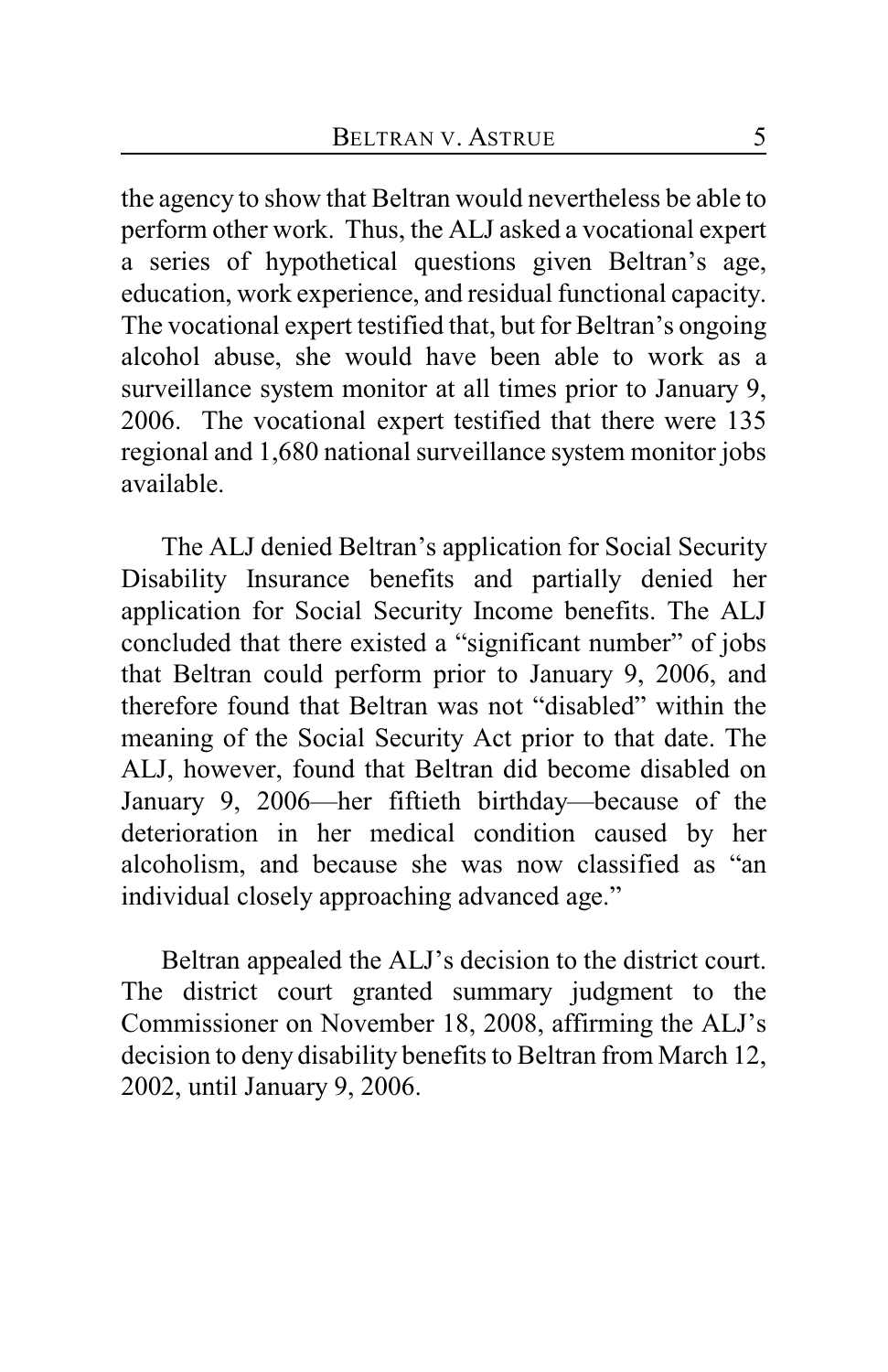the agency to show that Beltran would nevertheless be able to perform other work. Thus, the ALJ asked a vocational expert a series of hypothetical questions given Beltran's age, education, work experience, and residual functional capacity. The vocational expert testified that, but for Beltran's ongoing alcohol abuse, she would have been able to work as a surveillance system monitor at all times prior to January 9, 2006. The vocational expert testified that there were 135 regional and 1,680 national surveillance system monitor jobs available.

The ALJ denied Beltran's application for Social Security Disability Insurance benefits and partially denied her application for Social Security Income benefits. The ALJ concluded that there existed a "significant number" of jobs that Beltran could perform prior to January 9, 2006, and therefore found that Beltran was not "disabled" within the meaning of the Social Security Act prior to that date. The ALJ, however, found that Beltran did become disabled on January 9, 2006—her fiftieth birthday—because of the deterioration in her medical condition caused by her alcoholism, and because she was now classified as "an individual closely approaching advanced age."

Beltran appealed the ALJ's decision to the district court. The district court granted summary judgment to the Commissioner on November 18, 2008, affirming the ALJ's decision to deny disability benefits to Beltran from March 12, 2002, until January 9, 2006.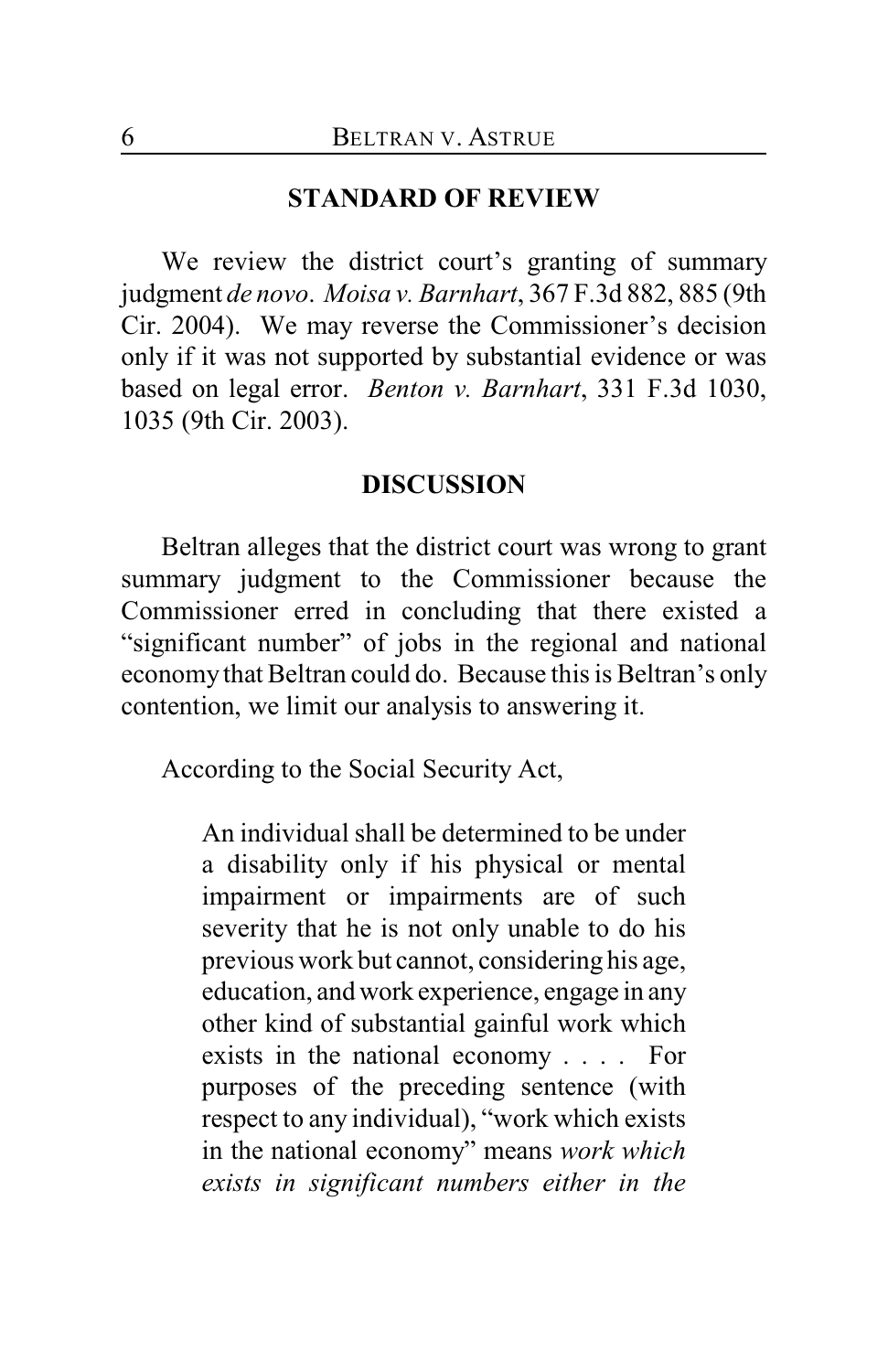#### **STANDARD OF REVIEW**

We review the district court's granting of summary judgment *de novo*. *Moisa v. Barnhart*, 367 F.3d 882, 885 (9th Cir. 2004). We may reverse the Commissioner's decision only if it was not supported by substantial evidence or was based on legal error. *Benton v. Barnhart*, 331 F.3d 1030, 1035 (9th Cir. 2003).

## **DISCUSSION**

Beltran alleges that the district court was wrong to grant summary judgment to the Commissioner because the Commissioner erred in concluding that there existed a "significant number" of jobs in the regional and national economy that Beltran could do. Because this is Beltran's only contention, we limit our analysis to answering it.

According to the Social Security Act,

An individual shall be determined to be under a disability only if his physical or mental impairment or impairments are of such severity that he is not only unable to do his previous work but cannot, considering his age, education, and work experience, engage in any other kind of substantial gainful work which exists in the national economy . . . . For purposes of the preceding sentence (with respect to any individual), "work which exists in the national economy" means *work which exists in significant numbers either in the*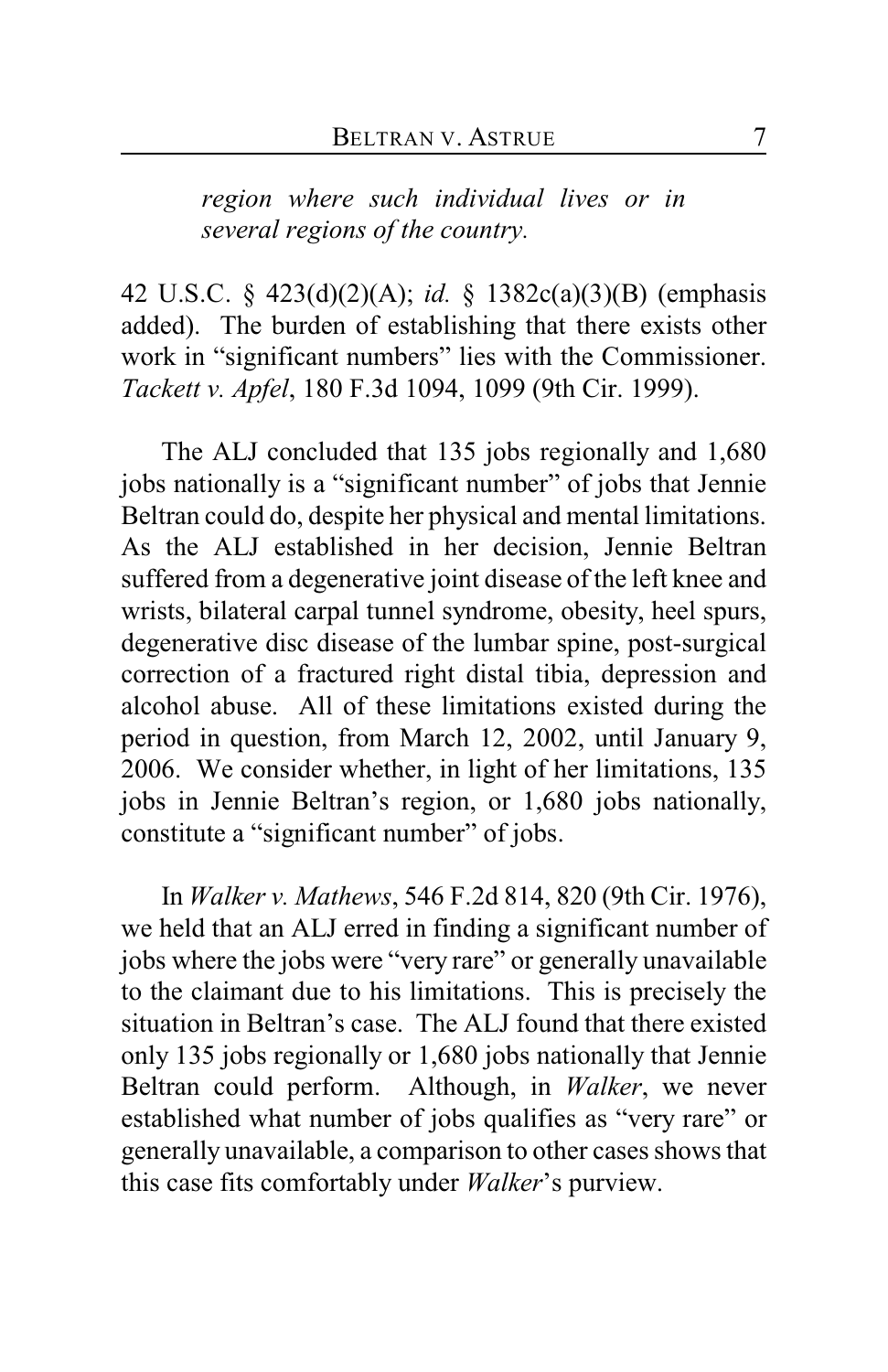*region where such individual lives or in several regions of the country.*

42 U.S.C. § 423(d)(2)(A); *id.* § 1382c(a)(3)(B) (emphasis added). The burden of establishing that there exists other work in "significant numbers" lies with the Commissioner. *Tackett v. Apfel*, 180 F.3d 1094, 1099 (9th Cir. 1999).

The ALJ concluded that 135 jobs regionally and 1,680 jobs nationally is a "significant number" of jobs that Jennie Beltran could do, despite her physical and mental limitations. As the ALJ established in her decision, Jennie Beltran suffered from a degenerative joint disease of the left knee and wrists, bilateral carpal tunnel syndrome, obesity, heel spurs, degenerative disc disease of the lumbar spine, post-surgical correction of a fractured right distal tibia, depression and alcohol abuse. All of these limitations existed during the period in question, from March 12, 2002, until January 9, 2006. We consider whether, in light of her limitations, 135 jobs in Jennie Beltran's region, or 1,680 jobs nationally, constitute a "significant number" of jobs.

In *Walker v. Mathews*, 546 F.2d 814, 820 (9th Cir. 1976), we held that an ALJ erred in finding a significant number of jobs where the jobs were "very rare" or generally unavailable to the claimant due to his limitations. This is precisely the situation in Beltran's case. The ALJ found that there existed only 135 jobs regionally or 1,680 jobs nationally that Jennie Beltran could perform. Although, in *Walker*, we never established what number of jobs qualifies as "very rare" or generally unavailable, a comparison to other cases shows that this case fits comfortably under *Walker*'s purview.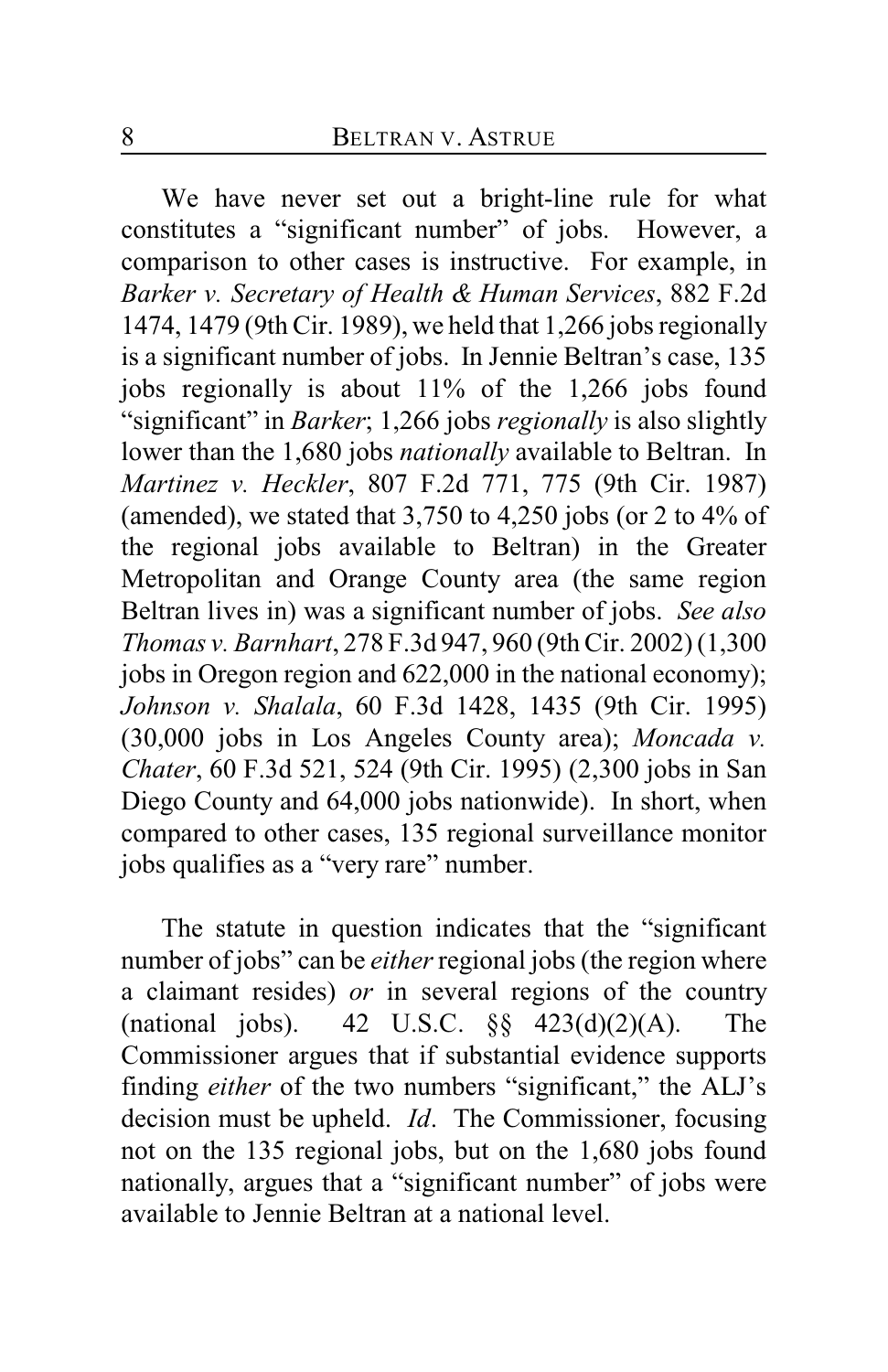We have never set out a bright-line rule for what constitutes a "significant number" of jobs. However, a comparison to other cases is instructive. For example, in *Barker v. Secretary of Health & Human Services*, 882 F.2d 1474, 1479 (9th Cir. 1989), we held that 1,266 jobs regionally is a significant number of jobs. In Jennie Beltran's case, 135 jobs regionally is about 11% of the 1,266 jobs found "significant" in *Barker*; 1,266 jobs *regionally* is also slightly lower than the 1,680 jobs *nationally* available to Beltran. In *Martinez v. Heckler*, 807 F.2d 771, 775 (9th Cir. 1987) (amended), we stated that 3,750 to 4,250 jobs (or 2 to 4% of the regional jobs available to Beltran) in the Greater Metropolitan and Orange County area (the same region Beltran lives in) was a significant number of jobs. *See also Thomas v. Barnhart*, 278 F.3d 947, 960 (9th Cir. 2002) (1,300 jobs in Oregon region and 622,000 in the national economy); *Johnson v. Shalala*, 60 F.3d 1428, 1435 (9th Cir. 1995) (30,000 jobs in Los Angeles County area); *Moncada v. Chater*, 60 F.3d 521, 524 (9th Cir. 1995) (2,300 jobs in San Diego County and 64,000 jobs nationwide). In short, when compared to other cases, 135 regional surveillance monitor jobs qualifies as a "very rare" number.

The statute in question indicates that the "significant number of jobs" can be *either* regional jobs (the region where a claimant resides) *or* in several regions of the country (national jobs). 42 U.S.C.  $\S\S$  423(d)(2)(A). The Commissioner argues that if substantial evidence supports finding *either* of the two numbers "significant," the ALJ's decision must be upheld. *Id*. The Commissioner, focusing not on the 135 regional jobs, but on the 1,680 jobs found nationally, argues that a "significant number" of jobs were available to Jennie Beltran at a national level.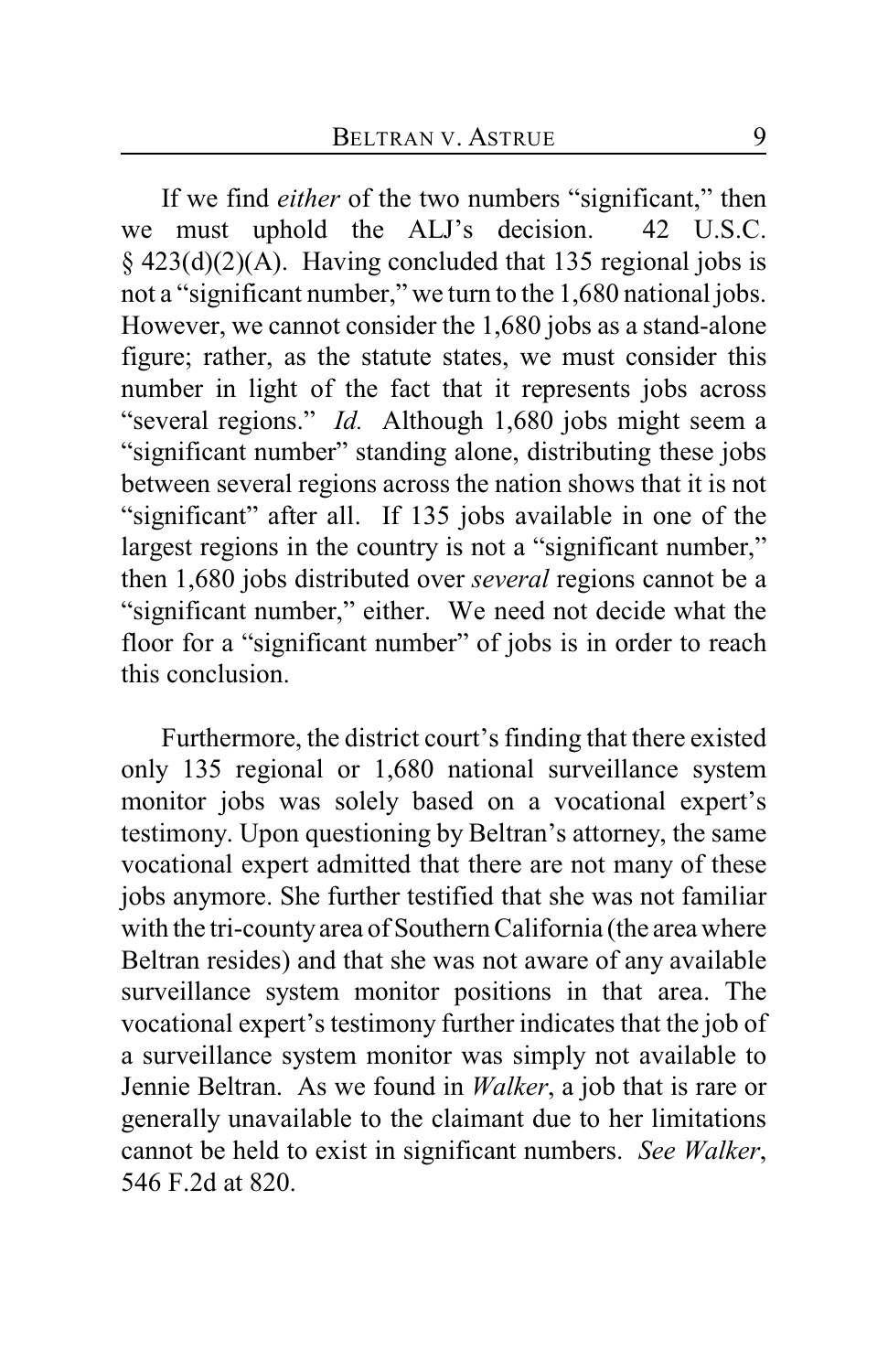If we find *either* of the two numbers "significant," then we must uphold the ALJ's decision. 42 U.S.C. § 423(d)(2)(A). Having concluded that 135 regional jobs is not a "significant number," we turn to the 1,680 national jobs. However, we cannot consider the 1,680 jobs as a stand-alone figure; rather, as the statute states, we must consider this number in light of the fact that it represents jobs across "several regions." *Id.* Although 1,680 jobs might seem a "significant number" standing alone, distributing these jobs between several regions across the nation shows that it is not "significant" after all. If 135 jobs available in one of the largest regions in the country is not a "significant number," then 1,680 jobs distributed over *several* regions cannot be a "significant number," either. We need not decide what the floor for a "significant number" of jobs is in order to reach this conclusion.

Furthermore, the district court's finding that there existed only 135 regional or 1,680 national surveillance system monitor jobs was solely based on a vocational expert's testimony. Upon questioning by Beltran's attorney, the same vocational expert admitted that there are not many of these jobs anymore. She further testified that she was not familiar with the tri-county area of Southern California (the area where Beltran resides) and that she was not aware of any available surveillance system monitor positions in that area. The vocational expert's testimony further indicates that the job of a surveillance system monitor was simply not available to Jennie Beltran. As we found in *Walker*, a job that is rare or generally unavailable to the claimant due to her limitations cannot be held to exist in significant numbers. *See Walker*, 546 F.2d at 820.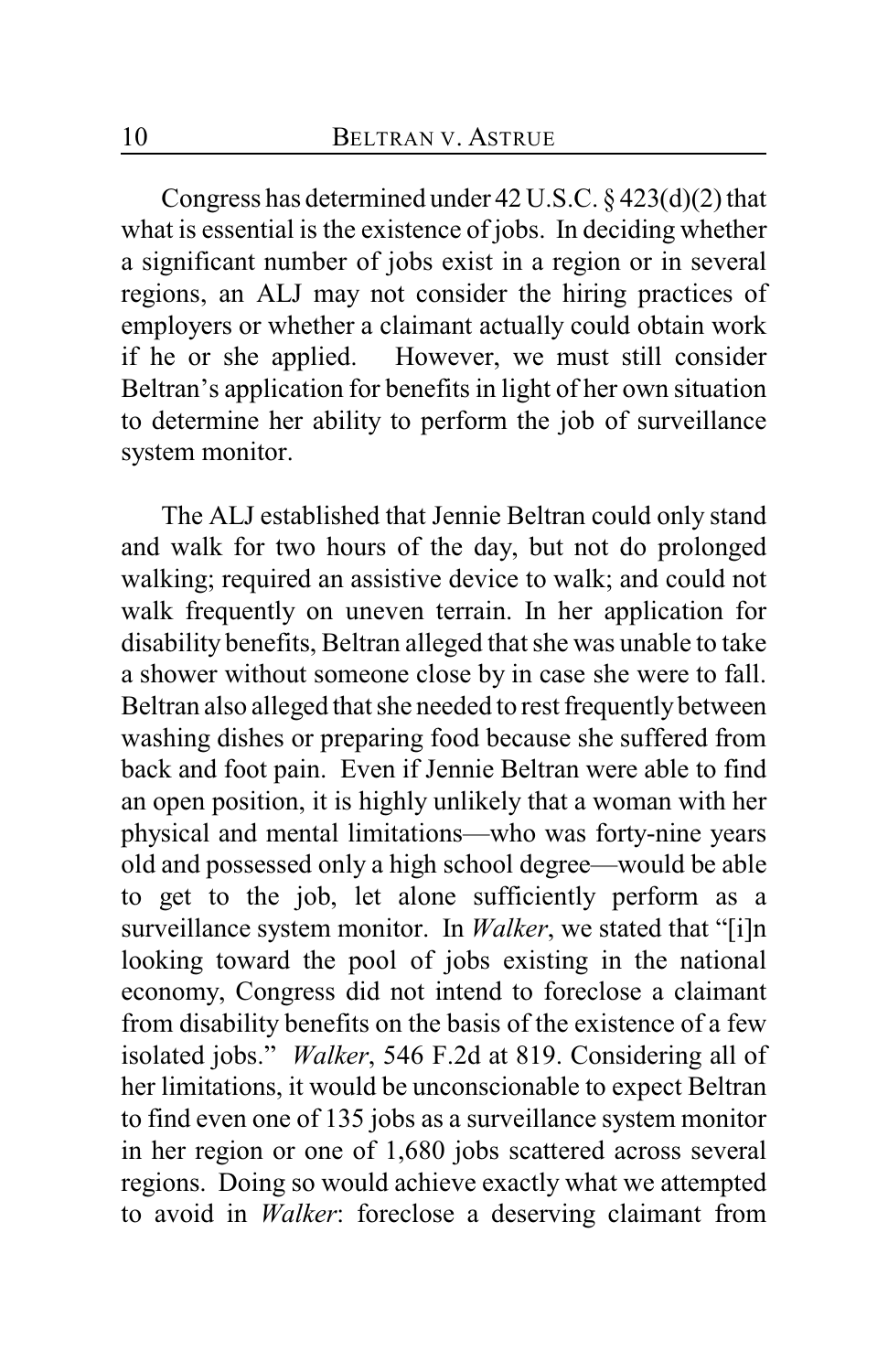Congress has determined under 42 U.S.C. § 423(d)(2) that what is essential is the existence of jobs. In deciding whether a significant number of jobs exist in a region or in several regions, an ALJ may not consider the hiring practices of employers or whether a claimant actually could obtain work if he or she applied. However, we must still consider Beltran's application for benefits in light of her own situation to determine her ability to perform the job of surveillance system monitor.

The ALJ established that Jennie Beltran could only stand and walk for two hours of the day, but not do prolonged walking; required an assistive device to walk; and could not walk frequently on uneven terrain. In her application for disability benefits, Beltran alleged that she was unable to take a shower without someone close by in case she were to fall. Beltran also alleged that she needed to rest frequently between washing dishes or preparing food because she suffered from back and foot pain. Even if Jennie Beltran were able to find an open position, it is highly unlikely that a woman with her physical and mental limitations—who was forty-nine years old and possessed only a high school degree—would be able to get to the job, let alone sufficiently perform as a surveillance system monitor. In *Walker*, we stated that "[i]n looking toward the pool of jobs existing in the national economy, Congress did not intend to foreclose a claimant from disability benefits on the basis of the existence of a few isolated jobs." *Walker*, 546 F.2d at 819. Considering all of her limitations, it would be unconscionable to expect Beltran to find even one of 135 jobs as a surveillance system monitor in her region or one of 1,680 jobs scattered across several regions. Doing so would achieve exactly what we attempted to avoid in *Walker*: foreclose a deserving claimant from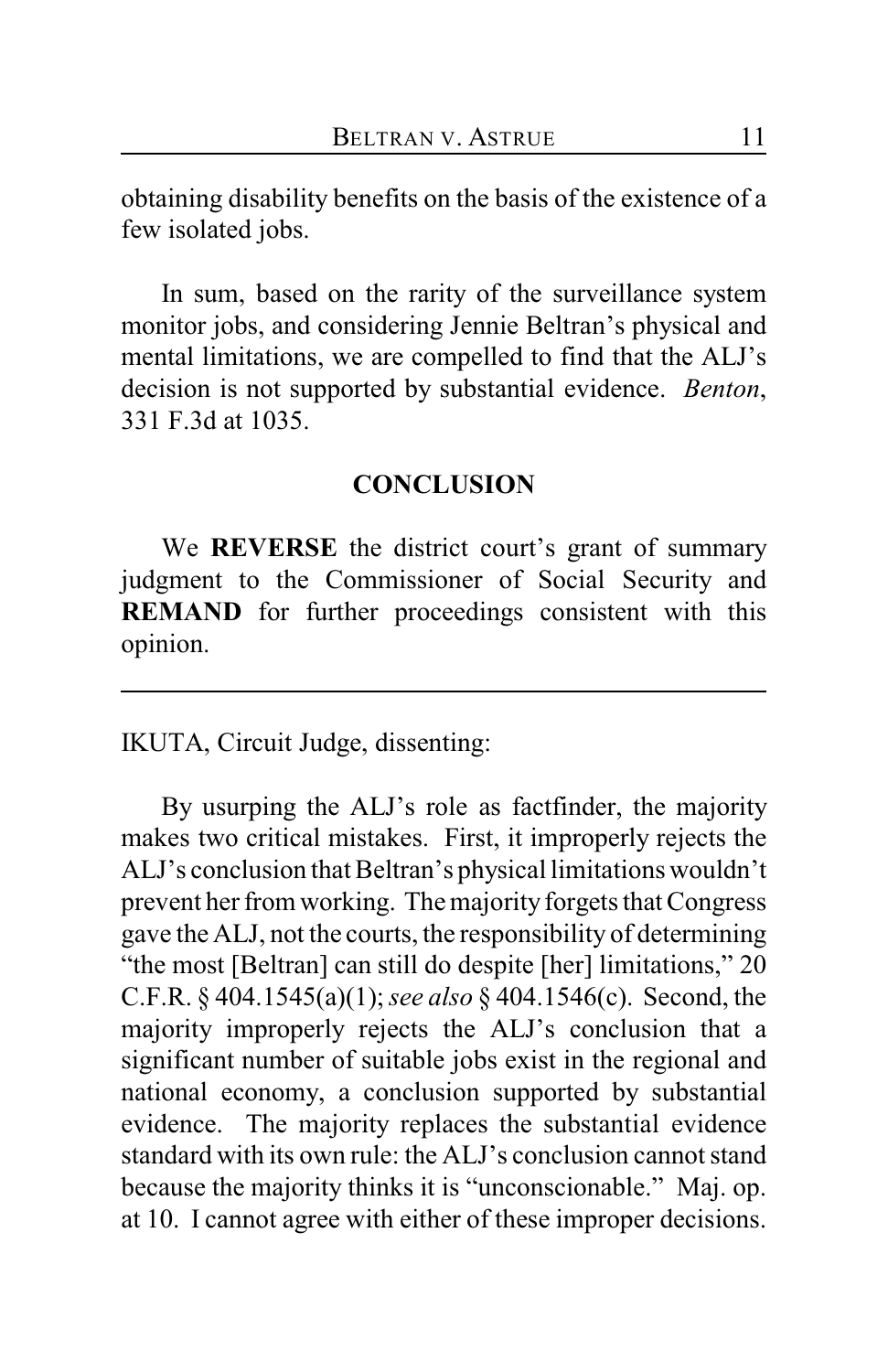obtaining disability benefits on the basis of the existence of a few isolated jobs.

In sum, based on the rarity of the surveillance system monitor jobs, and considering Jennie Beltran's physical and mental limitations, we are compelled to find that the ALJ's decision is not supported by substantial evidence. *Benton*, 331 F.3d at 1035.

# **CONCLUSION**

We **REVERSE** the district court's grant of summary judgment to the Commissioner of Social Security and **REMAND** for further proceedings consistent with this opinion.

IKUTA, Circuit Judge, dissenting:

By usurping the ALJ's role as factfinder, the majority makes two critical mistakes. First, it improperly rejects the ALJ's conclusion that Beltran's physical limitations wouldn't prevent her from working. The majority forgets that Congress gave the ALJ, not the courts, the responsibility of determining "the most [Beltran] can still do despite [her] limitations," 20 C.F.R. § 404.1545(a)(1); *see also* § 404.1546(c). Second, the majority improperly rejects the ALJ's conclusion that a significant number of suitable jobs exist in the regional and national economy, a conclusion supported by substantial evidence. The majority replaces the substantial evidence standard with its own rule: the ALJ's conclusion cannot stand because the majority thinks it is "unconscionable." Maj. op. at 10. I cannot agree with either of these improper decisions.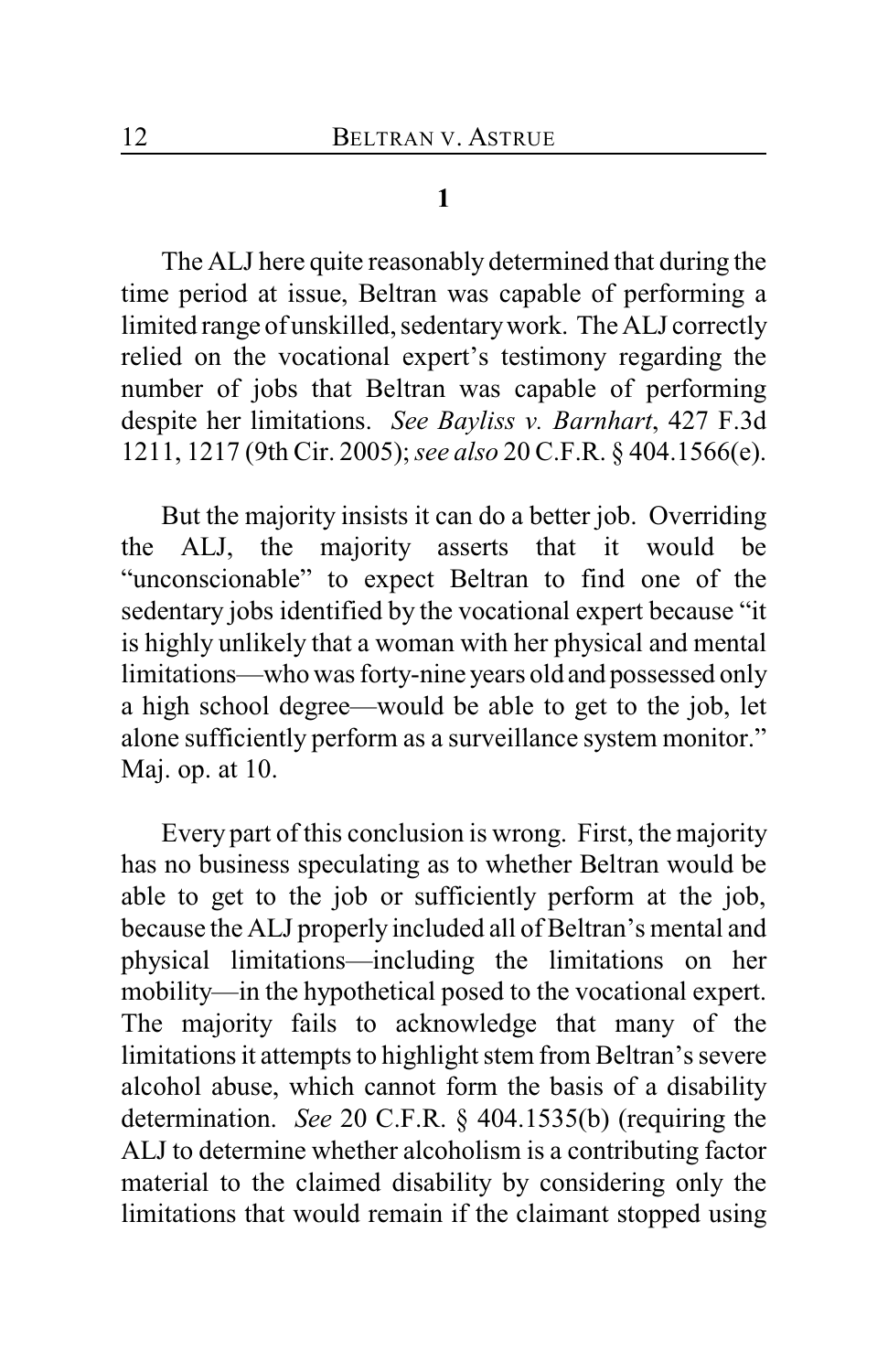## **1**

The ALJ here quite reasonably determined that during the time period at issue, Beltran was capable of performing a limited range of unskilled, sedentary work. The ALJ correctly relied on the vocational expert's testimony regarding the number of jobs that Beltran was capable of performing despite her limitations. *See Bayliss v. Barnhart*, 427 F.3d 1211, 1217 (9th Cir. 2005);*see also* 20 C.F.R. § 404.1566(e).

But the majority insists it can do a better job. Overriding the ALJ, the majority asserts that it would be "unconscionable" to expect Beltran to find one of the sedentary jobs identified by the vocational expert because "it is highly unlikely that a woman with her physical and mental limitations—who was forty-nine years old and possessed only a high school degree—would be able to get to the job, let alone sufficiently perform as a surveillance system monitor." Maj. op. at 10.

Every part of this conclusion is wrong. First, the majority has no business speculating as to whether Beltran would be able to get to the job or sufficiently perform at the job, because the ALJ properly included all of Beltran's mental and physical limitations—including the limitations on her mobility—in the hypothetical posed to the vocational expert. The majority fails to acknowledge that many of the limitations it attempts to highlight stem from Beltran's severe alcohol abuse, which cannot form the basis of a disability determination. *See* 20 C.F.R. § 404.1535(b) (requiring the ALJ to determine whether alcoholism is a contributing factor material to the claimed disability by considering only the limitations that would remain if the claimant stopped using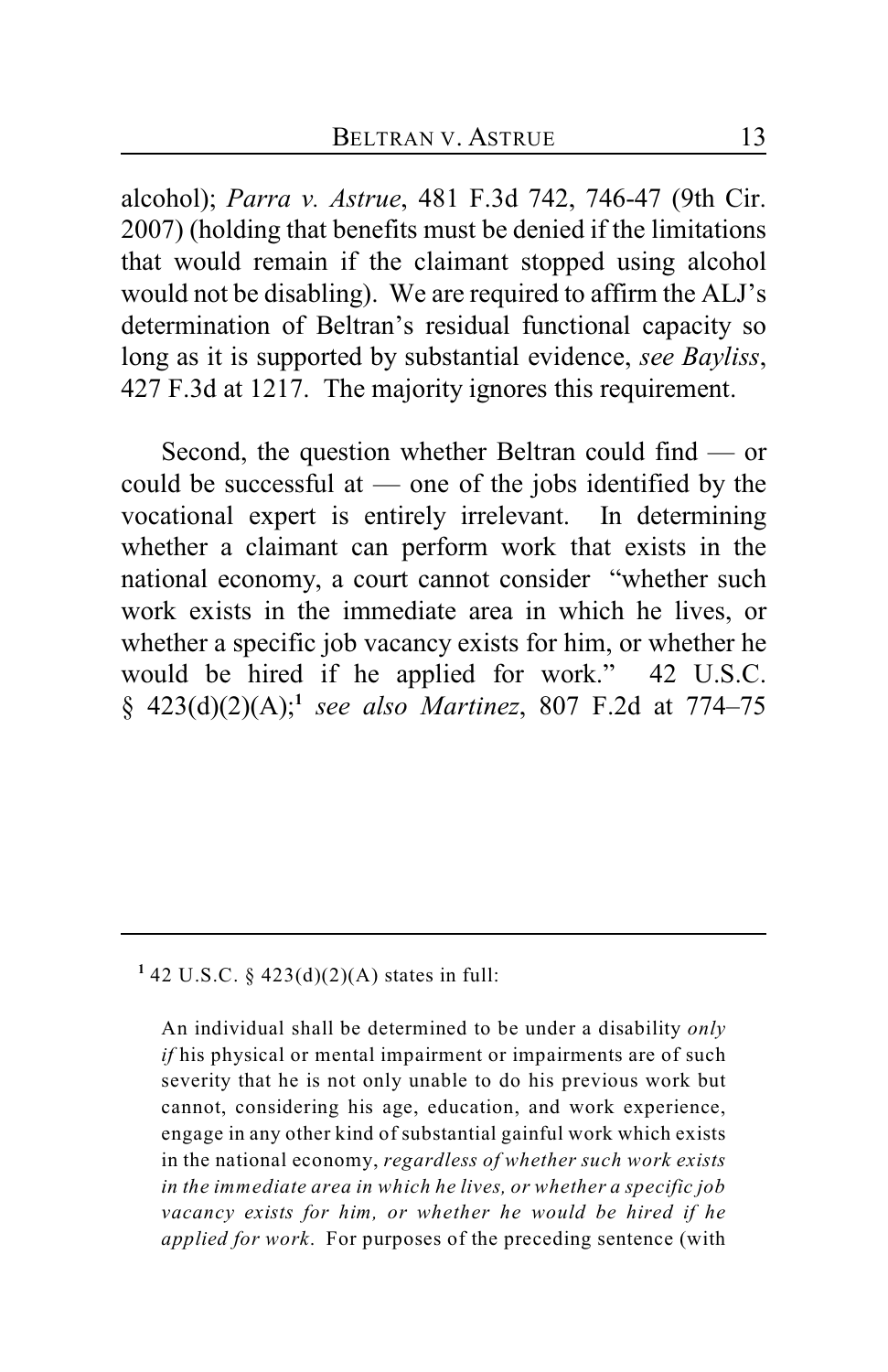alcohol); *Parra v. Astrue*, 481 F.3d 742, 746-47 (9th Cir. 2007) (holding that benefits must be denied if the limitations that would remain if the claimant stopped using alcohol would not be disabling). We are required to affirm the ALJ's determination of Beltran's residual functional capacity so long as it is supported by substantial evidence, *see Bayliss*, 427 F.3d at 1217. The majority ignores this requirement.

Second, the question whether Beltran could find — or could be successful at — one of the jobs identified by the vocational expert is entirely irrelevant. In determining whether a claimant can perform work that exists in the national economy, a court cannot consider "whether such work exists in the immediate area in which he lives, or whether a specific job vacancy exists for him, or whether he would be hired if he applied for work." 42 U.S.C. § 423(d)(2)(A); *see also Martinez*, 807 F.2d at 774–75 **<sup>1</sup>**

## <sup>1</sup> 42 U.S.C. § 423(d)(2)(A) states in full:

An individual shall be determined to be under a disability *only if* his physical or mental impairment or impairments are of such severity that he is not only unable to do his previous work but cannot, considering his age, education, and work experience, engage in any other kind of substantial gainful work which exists in the national economy, *regardless of whether such work exists in the immediate area in which he lives, or whether a specific job vacancy exists for him, or whether he would be hired if he applied for work*. For purposes of the preceding sentence (with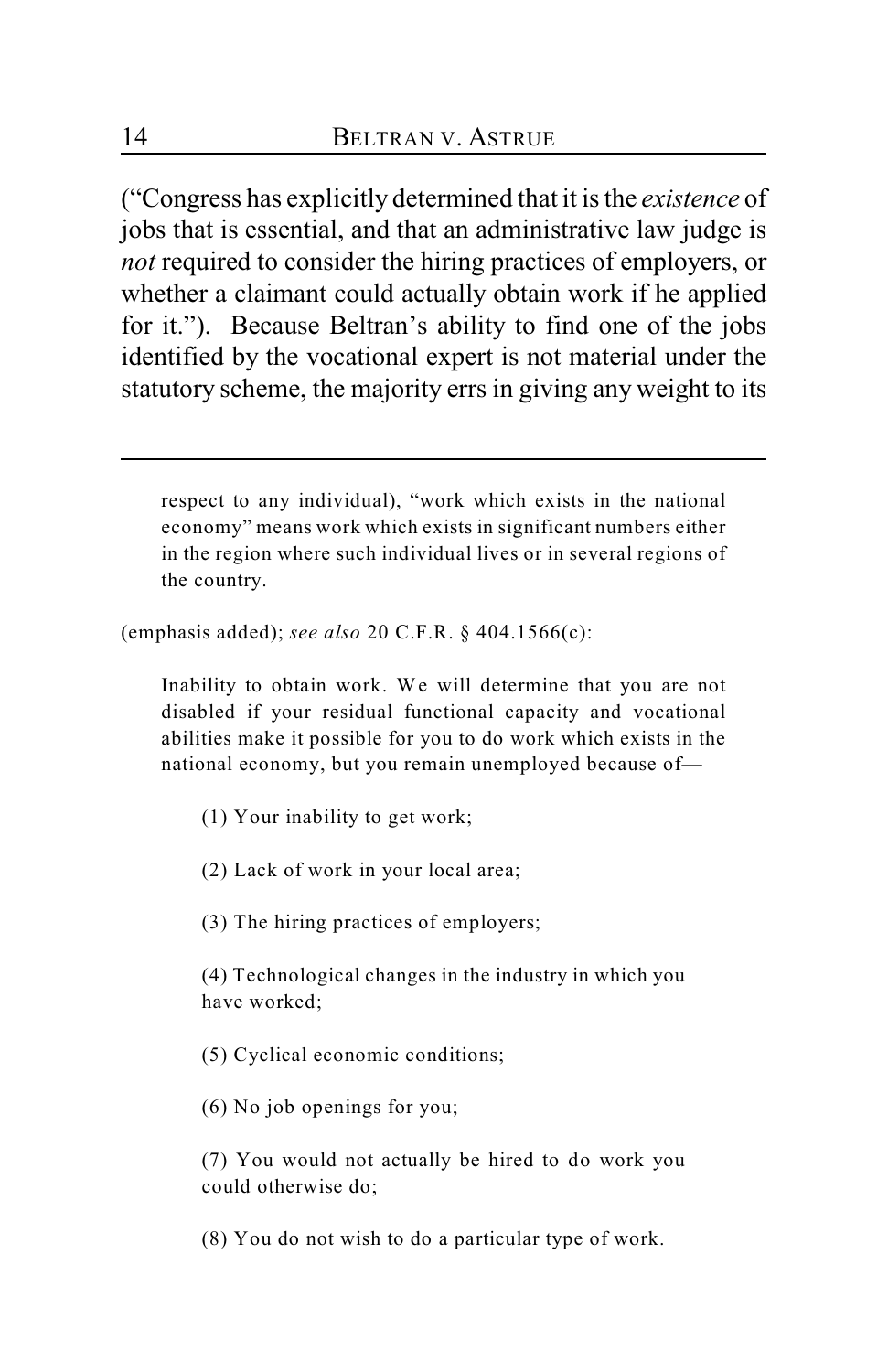("Congress has explicitly determined that it is the *existence* of jobs that is essential, and that an administrative law judge is *not* required to consider the hiring practices of employers, or whether a claimant could actually obtain work if he applied for it."). Because Beltran's ability to find one of the jobs identified by the vocational expert is not material under the statutory scheme, the majority errs in giving any weight to its

respect to any individual), "work which exists in the national economy" means work which exists in significant numbers either in the region where such individual lives or in several regions of the country.

(emphasis added); *see also* 20 C.F.R. § 404.1566(c):

Inability to obtain work. We will determine that you are not disabled if your residual functional capacity and vocational abilities make it possible for you to do work which exists in the national economy, but you remain unemployed because of—

(1) Your inability to get work;

(2) Lack of work in your local area;

(3) The hiring practices of employers;

(4) Technological changes in the industry in which you have worked;

(5) Cyclical economic conditions;

(6) No job openings for you;

(7) You would not actually be hired to do work you could otherwise do;

(8) You do not wish to do a particular type of work.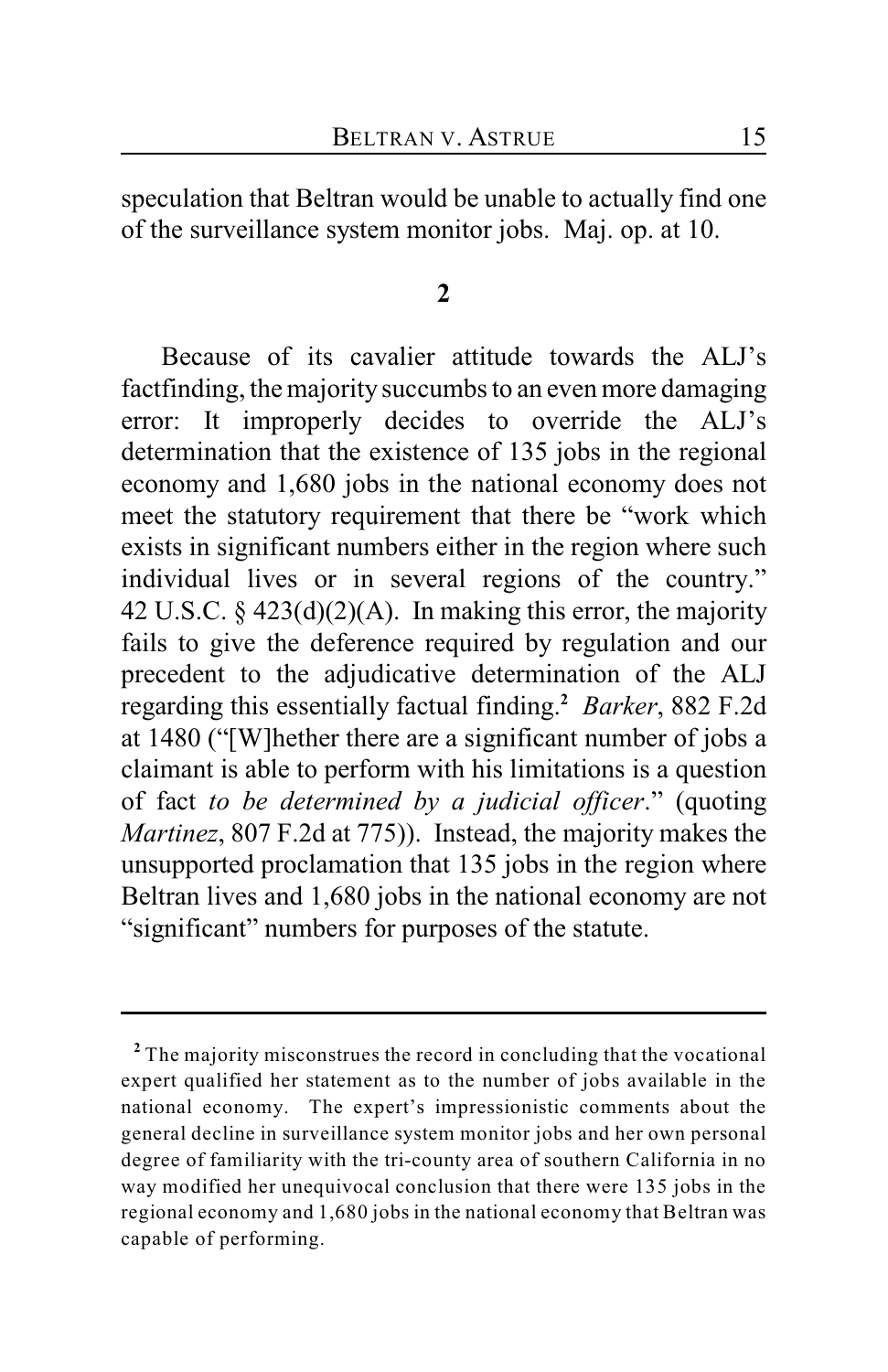speculation that Beltran would be unable to actually find one of the surveillance system monitor jobs. Maj. op. at 10.

#### **2**

Because of its cavalier attitude towards the ALJ's factfinding, the majority succumbs to an even more damaging error: It improperly decides to override the ALJ's determination that the existence of 135 jobs in the regional economy and 1,680 jobs in the national economy does not meet the statutory requirement that there be "work which exists in significant numbers either in the region where such individual lives or in several regions of the country." 42 U.S.C.  $\S$  423(d)(2)(A). In making this error, the majority fails to give the deference required by regulation and our precedent to the adjudicative determination of the ALJ regarding this essentially factual finding.<sup>2</sup> Barker, 882 F.2d at 1480 ("[W]hether there are a significant number of jobs a claimant is able to perform with his limitations is a question of fact *to be determined by a judicial officer*." (quoting *Martinez*, 807 F.2d at 775)). Instead, the majority makes the unsupported proclamation that 135 jobs in the region where Beltran lives and 1,680 jobs in the national economy are not "significant" numbers for purposes of the statute.

The majority misconstrues the record in concluding that the vocational **<sup>2</sup>** expert qualified her statement as to the number of jobs available in the national economy. The expert's impressionistic comments about the general decline in surveillance system monitor jobs and her own personal degree of familiarity with the tri-county area of southern California in no way modified her unequivocal conclusion that there were 135 jobs in the regional economy and 1,680 jobs in the national economy that Beltran was capable of performing.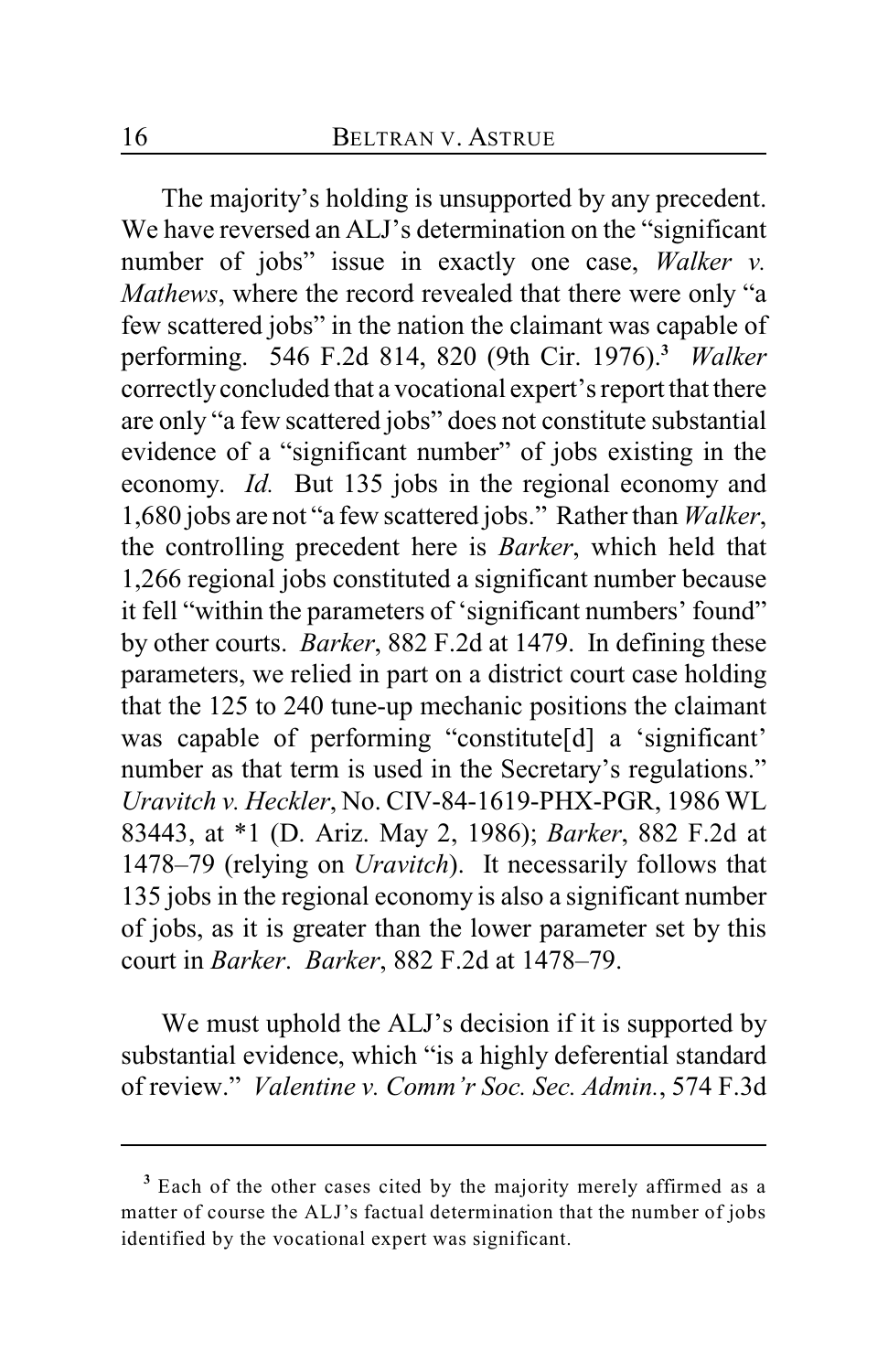The majority's holding is unsupported by any precedent. We have reversed an ALJ's determination on the "significant number of jobs" issue in exactly one case, *Walker v. Mathews*, where the record revealed that there were only "a few scattered jobs" in the nation the claimant was capable of performing. 546 F.2d 814, 820 (9th Cir. 1976). *Walker* **<sup>3</sup>** correctly concluded that a vocational expert's report that there are only "a few scattered jobs" does not constitute substantial evidence of a "significant number" of jobs existing in the economy. *Id.* But 135 jobs in the regional economy and 1,680 jobs are not "a few scattered jobs." Rather than *Walker*, the controlling precedent here is *Barker*, which held that 1,266 regional jobs constituted a significant number because it fell "within the parameters of 'significant numbers' found" by other courts. *Barker*, 882 F.2d at 1479. In defining these parameters, we relied in part on a district court case holding that the 125 to 240 tune-up mechanic positions the claimant was capable of performing "constitute[d] a 'significant' number as that term is used in the Secretary's regulations." *Uravitch v. Heckler*, No. CIV-84-1619-PHX-PGR, 1986 WL 83443, at \*1 (D. Ariz. May 2, 1986); *Barker*, 882 F.2d at 1478–79 (relying on *Uravitch*). It necessarily follows that 135 jobs in the regional economy is also a significant number of jobs, as it is greater than the lower parameter set by this court in *Barker*. *Barker*, 882 F.2d at 1478–79.

We must uphold the ALJ's decision if it is supported by substantial evidence, which "is a highly deferential standard of review." *Valentine v. Comm'r Soc. Sec. Admin.*, 574 F.3d

Each of the other cases cited by the majority merely affirmed as a **<sup>3</sup>** matter of course the ALJ's factual determination that the number of jobs identified by the vocational expert was significant.